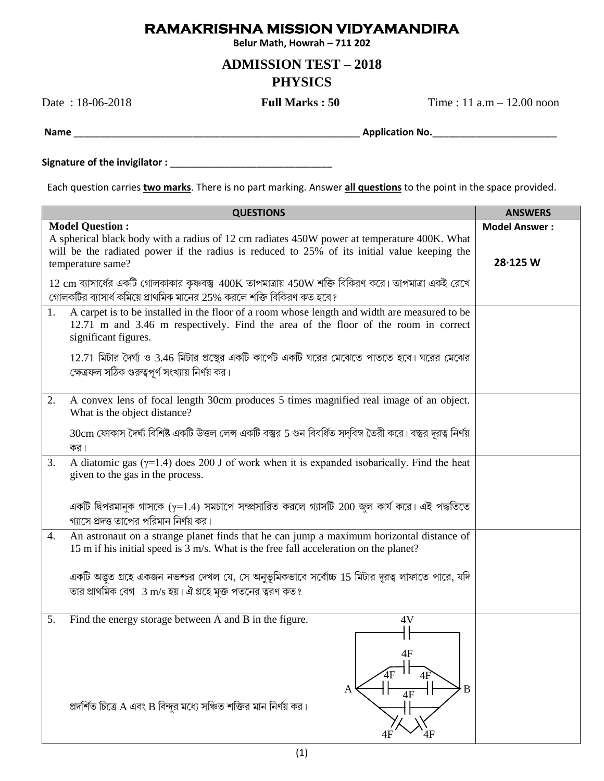## **RAMAKRISHNA MISSION VIDYAMANDIRA**

Belur Math, Howrah - 711 202

## **ADMISSION TEST - 2018 PHYSICS**

Date: 18-06-2018

**Full Marks: 50** 

Time:  $11$  a.m  $- 12.00$  noon

Each question carries *two marks*. There is no part marking. Answer *all questions* to the point in the space provided.

| <b>Model Question:</b><br>A spherical black body with a radius of 12 cm radiates 450W power at temperature 400K. What<br>will be the radiated power if the radius is reduced to 25% of its initial value keeping the | <b>Model Answer:</b> |
|----------------------------------------------------------------------------------------------------------------------------------------------------------------------------------------------------------------------|----------------------|
| temperature same?                                                                                                                                                                                                    | 28.125 W             |
| $12 \text{ cm}$ ব্যাসার্ধের একটি গোলকাকার কৃষ্ণবস্তু $400\text{K}$ তাপমাত্রায় $450\text{W}$ শক্তি বিকিরণ করে। তাপমাত্রা একই রেখে<br>গোলকটির ব্যাসার্ধ কমিয়ে প্রাথমিক মানের 25% করলে শক্তি বিকিরণ কত হবে?           |                      |
| A carpet is to be installed in the floor of a room whose length and width are measured to be<br>1.<br>12.71 m and 3.46 m respectively. Find the area of the floor of the room in correct<br>significant figures.     |                      |
| $12.71$ মিটার দৈর্ঘ্য ও $3.46$ মিটার প্রস্থের একটি কার্পেট একটি ঘরের মেঝেতে পাততে হবে। ঘরের মেঝের<br>ক্ষেত্রফল সঠিক গুরুত্বপূর্ণ সংখ্যায় নির্ণয় কর।                                                                |                      |
| A convex lens of focal length 30cm produces 5 times magnified real image of an object.<br>2.<br>What is the object distance?                                                                                         |                      |
| 30cm ফোকাস দৈর্ঘ্য বিশিষ্ট একটি উত্তল লেন্স একটি বস্তুর 5 গুন বিবর্ধিত সদ্বিম্ব তৈরী করে। বস্তুর দূরত্ব নির্ণয়<br>কর।                                                                                               |                      |
| A diatomic gas $(\gamma=1.4)$ does 200 J of work when it is expanded isobarically. Find the heat<br>3.<br>given to the gas in the process.                                                                           |                      |
| একটি দ্বিপরমানুক গাসকে ( $\gamma$ =1.4) সমচাপে সম্প্রসারিত করলে গ্যাসটি 200 জুল কার্য করে। এই পদ্ধতিতে<br>গ্যাসে প্রদত্ত তাপের পরিমান নির্ণয় কর।                                                                    |                      |
| An astronaut on a strange planet finds that he can jump a maximum horizontal distance of<br>4.<br>15 m if his initial speed is 3 m/s. What is the free fall acceleration on the planet?                              |                      |
| একটি অদ্ভুত গ্রহে একজন নভশ্চর দেখল যে, সে অনুভূমিকভাবে সর্বোচ্চ 15 মিটার দূরত্ব লাফাতে পারে, যদি<br>তার প্রাথমিক বেগ 3 m/s হয়। ঐ গ্রহে মুক্ত পতনের ত্বরণ কত?                                                        |                      |
| Find the energy storage between A and B in the figure.<br>5.<br>4V<br>4F<br>4F<br>A<br>4F<br>প্রদর্শিত চিত্রে A এবং B বিন্দুর মধ্যে সঞ্চিত শক্তির মান নির্ণয় কর।                                                    |                      |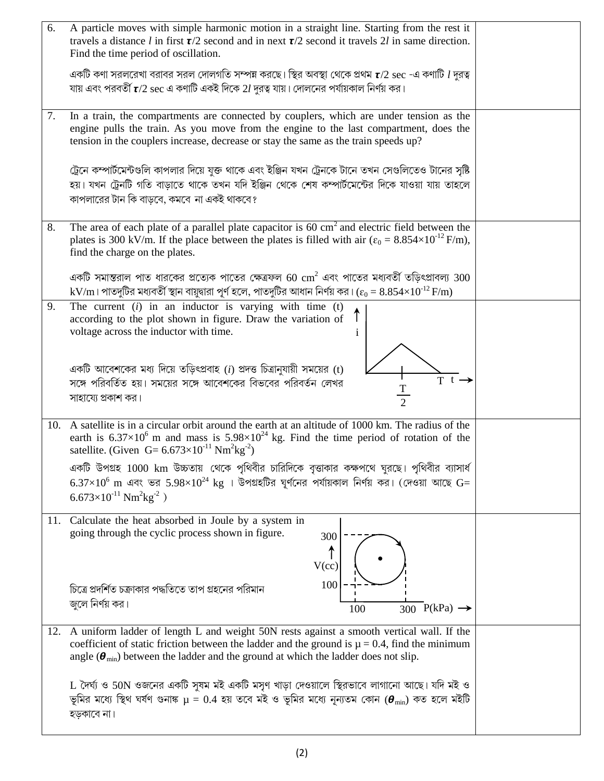| 6.  | A particle moves with simple harmonic motion in a straight line. Starting from the rest it<br>travels a distance l in first $\tau/2$ second and in next $\tau/2$ second it travels 2l in same direction.<br>Find the time period of oscillation.                                                   |  |
|-----|----------------------------------------------------------------------------------------------------------------------------------------------------------------------------------------------------------------------------------------------------------------------------------------------------|--|
|     | একটি কণা সরলরেখা বরাবর সরল দোলগতি সম্পন্ন করছে। স্থির অবস্থা থেকে প্রথম $\tau$ /2 $\sec$ -এ কণাটি $l$ দুরত্ব<br>যায় এবং পরবর্তী $\mathsf{r}/2\,\mathrm{sec}$ এ কণাটি একই দিকে $2l$ দুরত্ব যায়। দোলনের পর্যায়কাল নির্ণয় কর।                                                                     |  |
| 7.  | In a train, the compartments are connected by couplers, which are under tension as the<br>engine pulls the train. As you move from the engine to the last compartment, does the<br>tension in the couplers increase, decrease or stay the same as the train speeds up?                             |  |
|     | ট্রেনে কম্পার্টমেন্টগুলি কাপলার দিয়ে যুক্ত থাকে এবং ইঞ্জিন যখন ট্রেনকে টানে তখন সেগুলিতেও টানের সৃষ্টি<br>হয়। যখন ট্রেনটি গতি বাড়াতে থাকে তখন যদি ইঞ্জিন থেকে শেষ কম্পার্টমেন্টের দিকে যাওয়া যায় তাহলে<br>কাপলারের টান কি বাড়বে, কমবে না একই থাকবে?                                          |  |
| 8.  | The area of each plate of a parallel plate capacitor is 60 cm <sup>2</sup> and electric field between the<br>plates is 300 kV/m. If the place between the plates is filled with air $(\epsilon_0 = 8.854 \times 10^{-12} \text{ F/m})$ ,<br>find the charge on the plates.                         |  |
|     | একটি সমান্তরাল পাত ধারকের প্রত্যেক পাতের ক্ষেত্রফল 60 $\mathrm{cm}^2$ এবং পাতের মধ্যবর্তী তড়িৎপ্রাবল্য $300$<br>$kV/m$ । পাতদুটির মধ্যবর্তী স্থান বায়ুদ্বারা পূর্ণ হলে, পাতদুটির আধান নির্ণয় কর। ( $\varepsilon_0 = 8.854 \times 10^{-12}$ F/m)                                                 |  |
| 9.  | The current $(i)$ in an inductor is varying with time $(t)$<br>according to the plot shown in figure. Draw the variation of<br>voltage across the inductor with time.                                                                                                                              |  |
|     | একটি আবেশকের মধ্য দিয়ে তড়িৎপ্রবাহ (i) প্রদত্ত চিত্রানুযায়ী সময়ের (t)<br>T t $\rightarrow$<br>সঙ্গে পরিবর্তিত হয়। সময়ের সঙ্গে আবেশকের বিভবের পরিবর্তন লেখর<br>$\frac{T}{2}$<br>সাহায্যে প্রকাশ কর।                                                                                            |  |
| 10. | A satellite is in a circular orbit around the earth at an altitude of 1000 km. The radius of the<br>earth is $6.37 \times 10^6$ m and mass is $5.98 \times 10^{24}$ kg. Find the time period of rotation of the<br>satellite. (Given G= $6.673 \times 10^{-11}$ Nm <sup>2</sup> kg <sup>-2</sup> ) |  |
|     | একটি উপগ্রহ 1000 km উচ্চতায় থেকে পৃথিবীর চারিদিকে বৃত্তাকার কক্ষপথে ঘুরছে। পৃথিবীর ব্যাসার্ধ<br>$6.37\times10^6$ m এবং ভর $5.98\times10^{24}$ kg । উপগ্রহটির ঘূর্ণনের পর্যায়কাল নির্ণয় কর। (দেওয়া আছে G=<br>$6.673\times10^{-11}$ Nm <sup>2</sup> kg <sup>-2</sup> )                           |  |
|     | 11. Calculate the heat absorbed in Joule by a system in<br>going through the cyclic process shown in figure.<br>300<br>V(cc)                                                                                                                                                                       |  |
|     | 100<br>চিত্রে প্রদর্শিত চক্রাকার পদ্ধতিতে তাপ গ্রহনের পরিমান<br>জুলে নির্ণয় কর।<br>300 P(kPa) $\rightarrow$<br>100                                                                                                                                                                                |  |
| 12. | A uniform ladder of length L and weight 50N rests against a smooth vertical wall. If the<br>coefficient of static friction between the ladder and the ground is $\mu = 0.4$ , find the minimum<br>angle ( $\theta_{\min}$ ) between the ladder and the ground at which the ladder does not slip.   |  |
|     | L দৈর্ঘ্য ও 50N ওজনের একটি সুষম মই একটি মসৃণ খাড়া দেওয়ালে স্থিরভাবে লাগানো আছে। যদি মই ও<br>ভূমির মধ্যে স্থিথ ঘর্ষণ গুনাঙ্ক $\mu = 0.4$ হয় তবে মই ও ভূমির মধ্যে নূন্যতম কোন $(\boldsymbol{\theta}_{\min})$ কত হলে মইটি<br>হড়কাবে না।                                                           |  |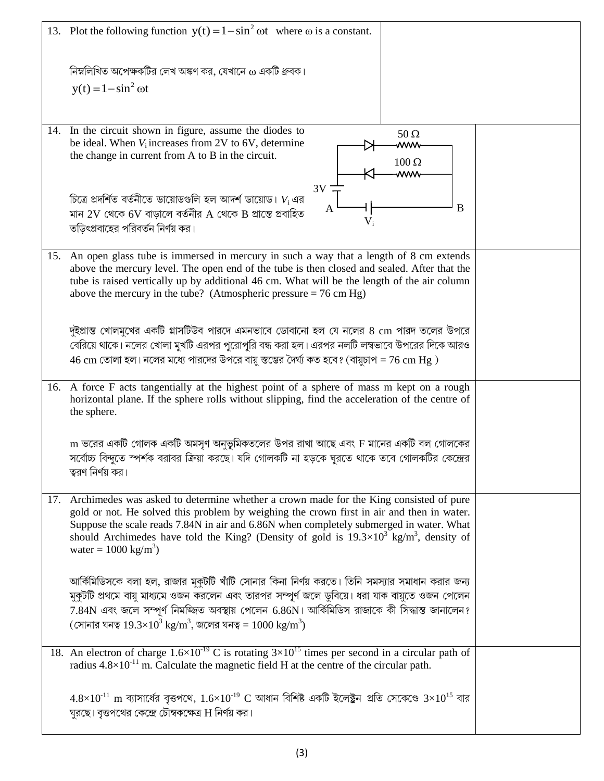|     | 13. Plot the following function $y(t) = 1 - \sin^2 \omega t$ where $\omega$ is a constant.                                                                                                                    |  |
|-----|---------------------------------------------------------------------------------------------------------------------------------------------------------------------------------------------------------------|--|
|     | নিম্নলিখিত অপেক্ষকটির লেখ অঙ্কণ কর, যেখানে $\omega$ একটি ধ্রুবক।                                                                                                                                              |  |
|     | $y(t) = 1 - \sin^2 \omega t$                                                                                                                                                                                  |  |
|     |                                                                                                                                                                                                               |  |
| 14. | In the circuit shown in figure, assume the diodes to<br>$50 \Omega$                                                                                                                                           |  |
|     | be ideal. When $V_i$ increases from 2V to 6V, determine<br>ww<br>the change in current from A to B in the circuit.                                                                                            |  |
|     | $100 \Omega$<br>ww                                                                                                                                                                                            |  |
|     | 3V                                                                                                                                                                                                            |  |
|     | চিত্রে প্রদর্শিত বর্তনীতে ডায়োডগুলি হল আদর্শ ডায়োড। $V_i$ এর<br>B<br>A<br>মান 2V থেকে 6V বাড়ালে বর্তনীর A থেকে B প্রান্তে প্রবাহিত                                                                         |  |
|     | $V_i$<br>তডিৎপ্রবাহের পরিবর্তন নির্ণয় কর।                                                                                                                                                                    |  |
|     |                                                                                                                                                                                                               |  |
| 15. | An open glass tube is immersed in mercury in such a way that a length of 8 cm extends<br>above the mercury level. The open end of the tube is then closed and sealed. After that the                          |  |
|     | tube is raised vertically up by additional 46 cm. What will be the length of the air column                                                                                                                   |  |
|     | above the mercury in the tube? (Atmospheric pressure $= 76$ cm Hg)                                                                                                                                            |  |
|     |                                                                                                                                                                                                               |  |
|     | দুইপ্রান্ত খোলমুখের একটি গ্লাসটিউব পারদে এমনভাবে ডোবানো হল যে নলের 8 cm পারদ তলের উপরে                                                                                                                        |  |
|     | বেরিয়ে থাকে। নলের খোলা মুখটি এরপর পুরোপুরি বন্ধ করা হল। এরপর নলটি লম্বভাবে উপরের দিকে আরও<br>$46 \text{ cm}$ তোলা হল। নলের মধ্যে পারদের উপরে বায়ু স্তম্ভের দৈর্ঘ্য কত হবে? (বায়ুচাপ = $76 \text{ cm Hg}$ ) |  |
|     |                                                                                                                                                                                                               |  |
|     | 16. A force F acts tangentially at the highest point of a sphere of mass m kept on a rough<br>horizontal plane. If the sphere rolls without slipping, find the acceleration of the centre of<br>the sphere.   |  |
|     |                                                                                                                                                                                                               |  |
|     | m ভরের একটি গোলক একটি অমসৃণ অনুভূমিকতলের উপর রাখা আছে এবং F মানের একটি বল গোলকের<br>সর্বোচ্চ বিন্দুতে স্পর্শক বরাবর ক্রিয়া করছে। যদি গোলকটি না হড়কে ঘুরতে থাকে তবে গোলকটির কেন্দ্রের                        |  |
|     | ত্বরণ নির্ণয় কর।                                                                                                                                                                                             |  |
|     |                                                                                                                                                                                                               |  |
| 17. | Archimedes was asked to determine whether a crown made for the King consisted of pure<br>gold or not. He solved this problem by weighing the crown first in air and then in water.                            |  |
|     | Suppose the scale reads 7.84N in air and 6.86N when completely submerged in water. What                                                                                                                       |  |
|     | should Archimedes have told the King? (Density of gold is $19.3 \times 10^{3}$ kg/m <sup>3</sup> , density of<br>water = $1000 \text{ kg/m}^3$ )                                                              |  |
|     |                                                                                                                                                                                                               |  |
|     | আর্কিমিডিসকে বলা হল, রাজার মুকুটটি খাঁটি সোনার কিনা নির্ণয় করতে। তিনি সমস্যার সমাধান করার জন্য                                                                                                               |  |
|     | মুকুটটি প্রথমে বায়ু মাধ্যমে ওজন করলেন এবং তারপর সম্পূর্ণ জলে ডুবিয়ে। ধরা যাক বায়ুতে ওজন পেলেন                                                                                                              |  |
|     | 7.84N এবং জলে সম্পূর্ণ নিমজ্জিত অবস্থায় পেলেন 6.86N। আর্কিমিডিস রাজাকে কী সিদ্ধান্ত জানালেন?<br>(সোনার ঘনত্ব $19.3 \times 10^3$ kg/m <sup>3</sup> , জলের ঘনত্ব = $1000$ kg/m <sup>3</sup> )                  |  |
|     |                                                                                                                                                                                                               |  |
|     | 18. An electron of charge $1.6 \times 10^{-19}$ C is rotating $3 \times 10^{15}$ times per second in a circular path of                                                                                       |  |
|     | radius $4.8 \times 10^{-11}$ m. Calculate the magnetic field H at the centre of the circular path.                                                                                                            |  |
|     | $4.8\times10^{11}$ m ব্যাসার্ধের বৃত্তপথে, $1.6\times10^{19}$ C আধান বিশিষ্ট একটি ইলেক্ট্রন প্রতি সেকেণ্ডে $3\times10^{15}$ বার                                                                               |  |
|     | ঘুরছে। বৃত্তপথের কেন্দ্রে চৌম্বকক্ষেত্র H নির্ণয় কর।                                                                                                                                                         |  |
|     |                                                                                                                                                                                                               |  |